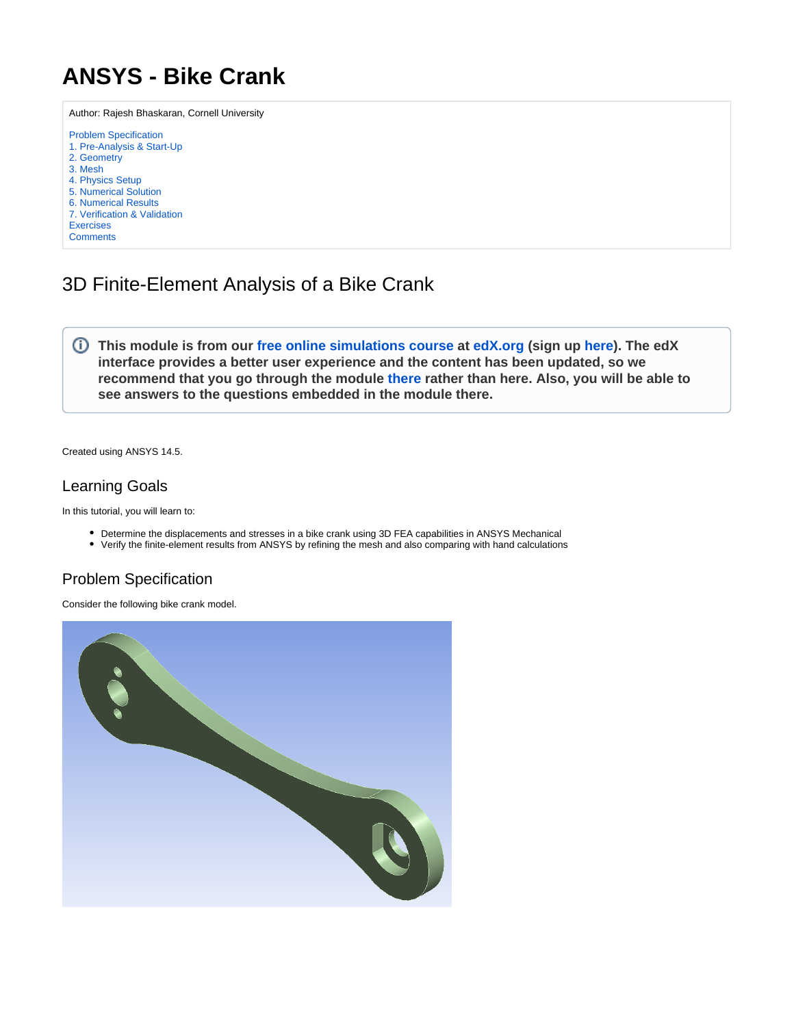## <span id="page-0-0"></span>**ANSYS - Bike Crank**

Author: Rajesh Bhaskaran, Cornell University [Problem Specification](#page-0-0) [1. Pre-Analysis & Start-Up](https://confluence.cornell.edu/pages/viewpage.action?pageId=236850562) [2. Geometry](https://confluence.cornell.edu/display/SIMULATION/Bike+Crank+-+Geometry) [3. Mesh](https://confluence.cornell.edu/display/SIMULATION/Bike+Crank+-+Mesh) [4. Physics Setup](https://confluence.cornell.edu/display/SIMULATION/Bike+Crank+-+Physics+Setup) [5. Numerical Solution](https://confluence.cornell.edu/display/SIMULATION/Bike+Crank+-+Numerical+Solution) [6. Numerical Results](https://confluence.cornell.edu/display/SIMULATION/Bike+Crank+-+Numerical+Results) [7. Verification & Validation](https://confluence.cornell.edu/pages/viewpage.action?pageId=236850574) [Exercises](https://confluence.cornell.edu/display/SIMULATION/Bike+Crank+-+Exercises) **[Comments](https://confluence.cornell.edu/display/SIMULATION/Bike+Crank+-+Comments)** 

## 3D Finite-Element Analysis of a Bike Crank

**This module is from our [free online simulations course](https://courses.edx.org/courses/course-v1:CornellX+ENGR2000X+1T2018/courseware/ab688caaaa8a4c5799845650150a207d/3ae504c74ebd400da52b8dedbe10bdde/) at [edX.org](http://edX.org) (sign up [here](https://www.edx.org/course/hands-introduction-engineering-cornellx-engr2000x-0)). The edX interface provides a better user experience and the content has been updated, so we recommend that you go through the module [there](https://courses.edx.org/courses/course-v1:CornellX+ENGR2000X+1T2018/courseware/ab688caaaa8a4c5799845650150a207d/3ae504c74ebd400da52b8dedbe10bdde/) rather than here. Also, you will be able to see answers to the questions embedded in the module there.** 

Created using ANSYS 14.5.

## Learning Goals

In this tutorial, you will learn to:

- Determine the displacements and stresses in a bike crank using 3D FEA capabilities in ANSYS Mechanical
- Verify the finite-element results from ANSYS by refining the mesh and also comparing with hand calculations

## Problem Specification

Consider the following bike crank model.